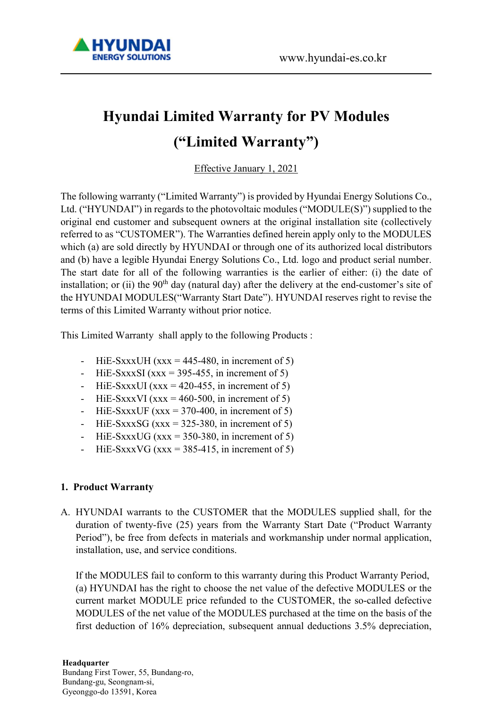

# Hyundai Limited Warranty for PV Modules ("Limited Warranty")

Effective January 1, 2021

The following warranty ("Limited Warranty") is provided by Hyundai Energy Solutions Co., Ltd. ("HYUNDAI") in regards to the photovoltaic modules ("MODULE(S)") supplied to the original end customer and subsequent owners at the original installation site (collectively referred to as "CUSTOMER"). The Warranties defined herein apply only to the MODULES which (a) are sold directly by HYUNDAI or through one of its authorized local distributors and (b) have a legible Hyundai Energy Solutions Co., Ltd. logo and product serial number. The start date for all of the following warranties is the earlier of either: (i) the date of installation; or (ii) the  $90<sup>th</sup>$  day (natural day) after the delivery at the end-customer's site of the HYUNDAI MODULES("Warranty Start Date"). HYUNDAI reserves right to revise the terms of this Limited Warranty without prior notice.

This Limited Warranty shall apply to the following Products :

- HiE-SxxxUH (xxx = 445-480, in increment of 5)
- HiE-SxxxSI (xxx = 395-455, in increment of 5)
- HiE-SxxxUI (xxx = 420-455, in increment of 5)
- HiE-SxxxVI (xxx = 460-500, in increment of 5)
- HiE-SxxxUF (xxx =  $370-400$ , in increment of 5)
- HiE-SxxxSG (xxx =  $325-380$ , in increment of 5)
- HiE-SxxxUG (xxx =  $350-380$ , in increment of 5)
- HiE-SxxxVG ( $xxx = 385-415$ , in increment of 5)

#### 1. Product Warranty

A. HYUNDAI warrants to the CUSTOMER that the MODULES supplied shall, for the duration of twenty-five (25) years from the Warranty Start Date ("Product Warranty Period"), be free from defects in materials and workmanship under normal application, installation, use, and service conditions.

If the MODULES fail to conform to this warranty during this Product Warranty Period, (a) HYUNDAI has the right to choose the net value of the defective MODULES or the current market MODULE price refunded to the CUSTOMER, the so-called defective MODULES of the net value of the MODULES purchased at the time on the basis of the first deduction of 16% depreciation, subsequent annual deductions 3.5% depreciation,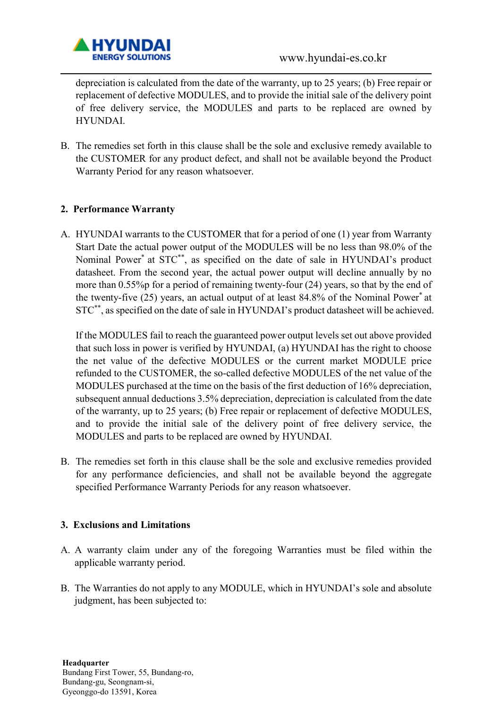

depreciation is calculated from the date of the warranty, up to 25 years; (b) Free repair or replacement of defective MODULES, and to provide the initial sale of the delivery point of free delivery service, the MODULES and parts to be replaced are owned by HYUNDAI.

B. The remedies set forth in this clause shall be the sole and exclusive remedy available to the CUSTOMER for any product defect, and shall not be available beyond the Product Warranty Period for any reason whatsoever.

### 2. Performance Warranty

A. HYUNDAI warrants to the CUSTOMER that for a period of one (1) year from Warranty Start Date the actual power output of the MODULES will be no less than 98.0% of the Nominal Power\* at STC\*\*, as specified on the date of sale in HYUNDAI's product datasheet. From the second year, the actual power output will decline annually by no more than 0.55%p for a period of remaining twenty-four (24) years, so that by the end of the twenty-five (25) years, an actual output of at least 84.8% of the Nominal Power\* at STC\*\*, as specified on the date of sale in HYUNDAI's product datasheet will be achieved.

If the MODULES fail to reach the guaranteed power output levels set out above provided that such loss in power is verified by HYUNDAI, (a) HYUNDAI has the right to choose the net value of the defective MODULES or the current market MODULE price refunded to the CUSTOMER, the so-called defective MODULES of the net value of the MODULES purchased at the time on the basis of the first deduction of 16% depreciation, subsequent annual deductions 3.5% depreciation, depreciation is calculated from the date of the warranty, up to 25 years; (b) Free repair or replacement of defective MODULES, and to provide the initial sale of the delivery point of free delivery service, the MODULES and parts to be replaced are owned by HYUNDAI.

B. The remedies set forth in this clause shall be the sole and exclusive remedies provided for any performance deficiencies, and shall not be available beyond the aggregate specified Performance Warranty Periods for any reason whatsoever.

#### 3. Exclusions and Limitations

- A. A warranty claim under any of the foregoing Warranties must be filed within the applicable warranty period.
- B. The Warranties do not apply to any MODULE, which in HYUNDAI's sole and absolute judgment, has been subjected to: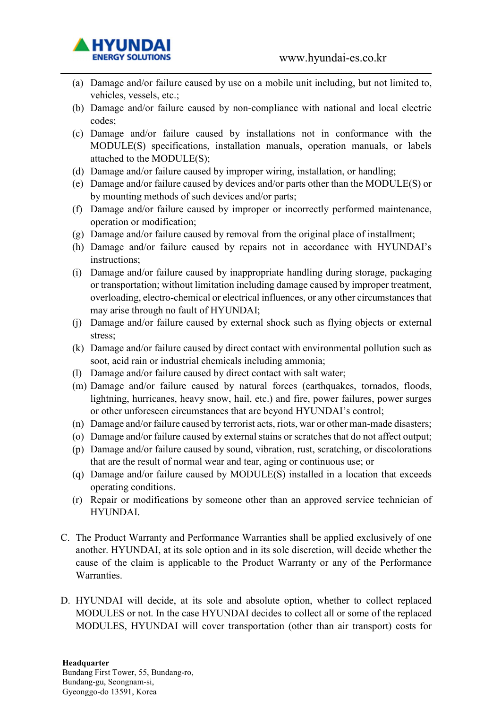

- (a) Damage and/or failure caused by use on a mobile unit including, but not limited to, vehicles, vessels, etc.;
- (b) Damage and/or failure caused by non-compliance with national and local electric codes;
- (c) Damage and/or failure caused by installations not in conformance with the MODULE(S) specifications, installation manuals, operation manuals, or labels attached to the MODULE(S);
- (d) Damage and/or failure caused by improper wiring, installation, or handling;
- (e) Damage and/or failure caused by devices and/or parts other than the MODULE(S) or by mounting methods of such devices and/or parts;
- (f) Damage and/or failure caused by improper or incorrectly performed maintenance, operation or modification;
- (g) Damage and/or failure caused by removal from the original place of installment;
- (h) Damage and/or failure caused by repairs not in accordance with HYUNDAI's instructions;
- (i) Damage and/or failure caused by inappropriate handling during storage, packaging or transportation; without limitation including damage caused by improper treatment, overloading, electro-chemical or electrical influences, or any other circumstances that may arise through no fault of HYUNDAI;
- (j) Damage and/or failure caused by external shock such as flying objects or external stress;
- (k) Damage and/or failure caused by direct contact with environmental pollution such as soot, acid rain or industrial chemicals including ammonia;
- (l) Damage and/or failure caused by direct contact with salt water;
- (m) Damage and/or failure caused by natural forces (earthquakes, tornados, floods, lightning, hurricanes, heavy snow, hail, etc.) and fire, power failures, power surges or other unforeseen circumstances that are beyond HYUNDAI's control;
- (n) Damage and/or failure caused by terrorist acts, riots, war or other man-made disasters;
- (o) Damage and/or failure caused by external stains or scratches that do not affect output;
- (p) Damage and/or failure caused by sound, vibration, rust, scratching, or discolorations that are the result of normal wear and tear, aging or continuous use; or
- (q) Damage and/or failure caused by MODULE(S) installed in a location that exceeds operating conditions.
- (r) Repair or modifications by someone other than an approved service technician of HYUNDAI.
- C. The Product Warranty and Performance Warranties shall be applied exclusively of one another. HYUNDAI, at its sole option and in its sole discretion, will decide whether the cause of the claim is applicable to the Product Warranty or any of the Performance Warranties.
- D. HYUNDAI will decide, at its sole and absolute option, whether to collect replaced MODULES or not. In the case HYUNDAI decides to collect all or some of the replaced MODULES, HYUNDAI will cover transportation (other than air transport) costs for

#### **Headquarter**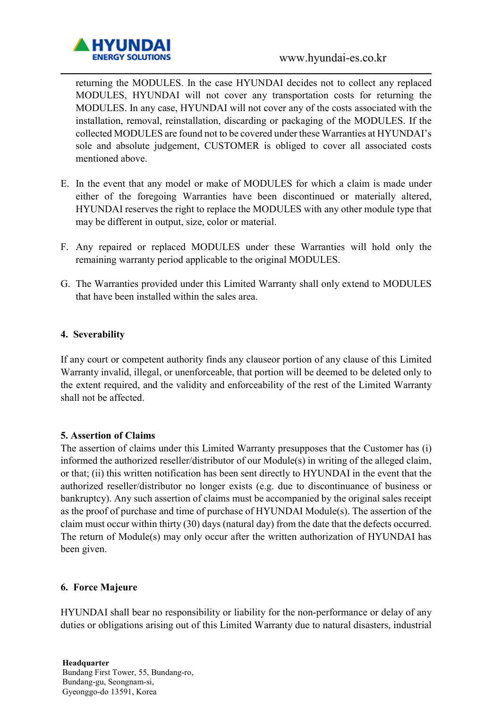

returning the MODULES. In the case HYUNDAI decides not to collect any replaced MODULES, HYUNDAI will not cover any transportation costs for returning the MODULES. In any case, HYUNDAI will not cover any of the costs associated with the installation, removal, reinstallation, discarding or packaging of the MODULES. If the collected MODULES are found not to be covered under these Warranties at HYUNDAI's sole and absolute judgement, CUSTOMER is obliged to cover all associated costs mentioned above.

- E. In the event that any model or make of MODULES for which a claim is made under either of the foregoing Warranties have been discontinued or materially altered, HYUNDAI reserves the right to replace the MODULES with any other module type that may be different in output, size, color or material.
- F. Any repaired or replaced MODULES under these Warranties will hold only the remaining warranty period applicable to the original MODULES.
- G. The Warranties provided under this Limited Warranty shall only extend to MODULES that have been installed within the sales area.

#### 4. Severability

If any court or competent authority finds any clauseor portion of any clause of this Limited Warranty invalid, illegal, or unenforceable, that portion will be deemed to be deleted only to the extent required, and the validity and enforceability of the rest of the Limited Warranty shall not be affected.

#### 5. Assertion of Claims

The assertion of claims under this Limited Warranty presupposes that the Customer has (i) informed the authorized reseller/distributor of our Module(s) in writing of the alleged claim, or that; (ii) this written notification has been sent directly to HYUNDAI in the event that the authorized reseller/distributor no longer exists (e.g. due to discontinuance of business or bankruptcy). Any such assertion of claims must be accompanied by the original sales receipt as the proof of purchase and time of purchase of HYUNDAI Module(s). The assertion of the claim must occur within thirty (30) days (natural day) from the date that the defects occurred. The return of Module(s) may only occur after the written authorization of HYUNDAI has been given.

#### 6. Force Majeure

HYUNDAI shall bear no responsibility or liability for the non-performance or delay of any duties or obligations arising out of this Limited Warranty due to natural disasters, industrial